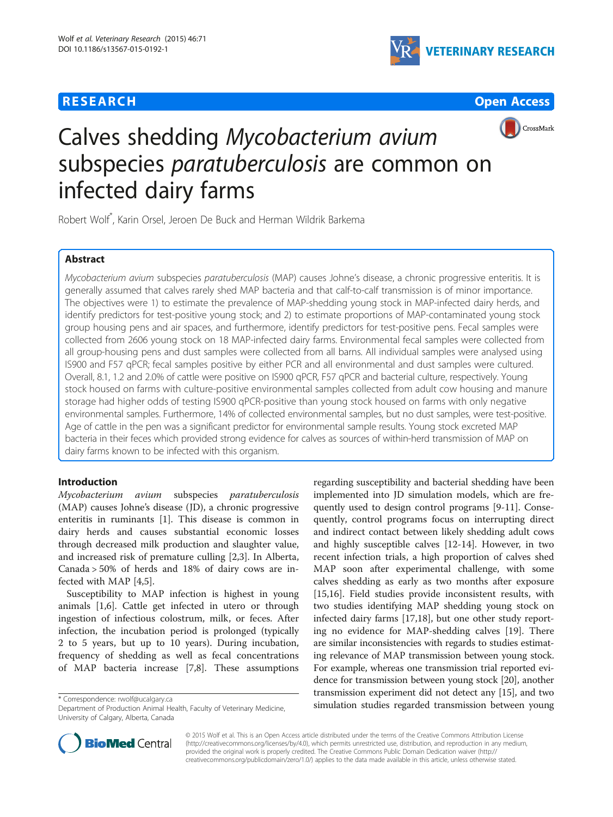





# Calves shedding Mycobacterium avium subspecies *paratuberculosis* are common on infected dairy farms

Robert Wolf\* , Karin Orsel, Jeroen De Buck and Herman Wildrik Barkema

# Abstract

Mycobacterium avium subspecies paratuberculosis (MAP) causes Johne's disease, a chronic progressive enteritis. It is generally assumed that calves rarely shed MAP bacteria and that calf-to-calf transmission is of minor importance. The objectives were 1) to estimate the prevalence of MAP-shedding young stock in MAP-infected dairy herds, and identify predictors for test-positive young stock; and 2) to estimate proportions of MAP-contaminated young stock group housing pens and air spaces, and furthermore, identify predictors for test-positive pens. Fecal samples were collected from 2606 young stock on 18 MAP-infected dairy farms. Environmental fecal samples were collected from all group-housing pens and dust samples were collected from all barns. All individual samples were analysed using IS900 and F57 qPCR; fecal samples positive by either PCR and all environmental and dust samples were cultured. Overall, 8.1, 1.2 and 2.0% of cattle were positive on IS900 qPCR, F57 qPCR and bacterial culture, respectively. Young stock housed on farms with culture-positive environmental samples collected from adult cow housing and manure storage had higher odds of testing IS900 qPCR-positive than young stock housed on farms with only negative environmental samples. Furthermore, 14% of collected environmental samples, but no dust samples, were test-positive. Age of cattle in the pen was a significant predictor for environmental sample results. Young stock excreted MAP bacteria in their feces which provided strong evidence for calves as sources of within-herd transmission of MAP on dairy farms known to be infected with this organism.

# Introduction

Mycobacterium avium subspecies paratuberculosis (MAP) causes Johne's disease (JD), a chronic progressive enteritis in ruminants [[1\]](#page-6-0). This disease is common in dairy herds and causes substantial economic losses through decreased milk production and slaughter value, and increased risk of premature culling [[2](#page-6-0),[3](#page-6-0)]. In Alberta, Canada > 50% of herds and 18% of dairy cows are infected with MAP [[4,5\]](#page-6-0).

Susceptibility to MAP infection is highest in young animals [\[1,6](#page-6-0)]. Cattle get infected in utero or through ingestion of infectious colostrum, milk, or feces. After infection, the incubation period is prolonged (typically 2 to 5 years, but up to 10 years). During incubation, frequency of shedding as well as fecal concentrations of MAP bacteria increase [[7,8\]](#page-6-0). These assumptions

Department of Production Animal Health, Faculty of Veterinary Medicine, University of Calgary, Alberta, Canada

regarding susceptibility and bacterial shedding have been implemented into JD simulation models, which are frequently used to design control programs [\[9](#page-6-0)-[11\]](#page-6-0). Consequently, control programs focus on interrupting direct and indirect contact between likely shedding adult cows and highly susceptible calves [\[12-14](#page-6-0)]. However, in two recent infection trials, a high proportion of calves shed MAP soon after experimental challenge, with some calves shedding as early as two months after exposure [[15,16\]](#page-6-0). Field studies provide inconsistent results, with two studies identifying MAP shedding young stock on infected dairy farms [[17,18\]](#page-6-0), but one other study reporting no evidence for MAP-shedding calves [\[19\]](#page-6-0). There are similar inconsistencies with regards to studies estimating relevance of MAP transmission between young stock. For example, whereas one transmission trial reported evidence for transmission between young stock [[20](#page-6-0)], another transmission experiment did not detect any [[15](#page-6-0)], and two simulation studies regarded transmission between young \* Correspondence: [rwolf@ucalgary.ca](mailto:rwolf@ucalgary.ca)



© 2015 Wolf et al. This is an Open Access article distributed under the terms of the Creative Commons Attribution License [\(http://creativecommons.org/licenses/by/4.0\)](http://creativecommons.org/licenses/by/4.0), which permits unrestricted use, distribution, and reproduction in any medium, provided the original work is properly credited. The Creative Commons Public Domain Dedication waiver [\(http://](http://creativecommons.org/publicdomain/zero/1.0/) [creativecommons.org/publicdomain/zero/1.0/\)](http://creativecommons.org/publicdomain/zero/1.0/) applies to the data made available in this article, unless otherwise stated.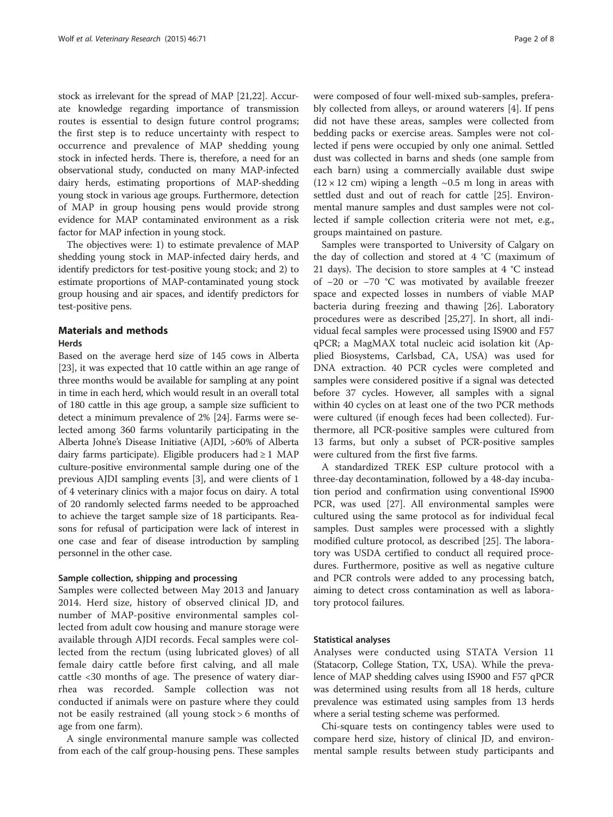stock as irrelevant for the spread of MAP [\[21,22](#page-6-0)]. Accurate knowledge regarding importance of transmission routes is essential to design future control programs; the first step is to reduce uncertainty with respect to occurrence and prevalence of MAP shedding young stock in infected herds. There is, therefore, a need for an observational study, conducted on many MAP-infected dairy herds, estimating proportions of MAP-shedding young stock in various age groups. Furthermore, detection of MAP in group housing pens would provide strong evidence for MAP contaminated environment as a risk factor for MAP infection in young stock.

The objectives were: 1) to estimate prevalence of MAP shedding young stock in MAP-infected dairy herds, and identify predictors for test-positive young stock; and 2) to estimate proportions of MAP-contaminated young stock group housing and air spaces, and identify predictors for test-positive pens.

# Materials and methods

#### Herds

Based on the average herd size of 145 cows in Alberta [[23](#page-6-0)], it was expected that 10 cattle within an age range of three months would be available for sampling at any point in time in each herd, which would result in an overall total of 180 cattle in this age group, a sample size sufficient to detect a minimum prevalence of 2% [[24](#page-6-0)]. Farms were selected among 360 farms voluntarily participating in the Alberta Johne's Disease Initiative (AJDI, >60% of Alberta dairy farms participate). Eligible producers had  $\geq 1$  MAP culture-positive environmental sample during one of the previous AJDI sampling events [\[3\]](#page-6-0), and were clients of 1 of 4 veterinary clinics with a major focus on dairy. A total of 20 randomly selected farms needed to be approached to achieve the target sample size of 18 participants. Reasons for refusal of participation were lack of interest in one case and fear of disease introduction by sampling personnel in the other case.

# Sample collection, shipping and processing

Samples were collected between May 2013 and January 2014. Herd size, history of observed clinical JD, and number of MAP-positive environmental samples collected from adult cow housing and manure storage were available through AJDI records. Fecal samples were collected from the rectum (using lubricated gloves) of all female dairy cattle before first calving, and all male cattle <30 months of age. The presence of watery diarrhea was recorded. Sample collection was not conducted if animals were on pasture where they could not be easily restrained (all young stock > 6 months of age from one farm).

A single environmental manure sample was collected from each of the calf group-housing pens. These samples

were composed of four well-mixed sub-samples, preferably collected from alleys, or around waterers [[4\]](#page-6-0). If pens did not have these areas, samples were collected from bedding packs or exercise areas. Samples were not collected if pens were occupied by only one animal. Settled dust was collected in barns and sheds (one sample from each barn) using a commercially available dust swipe  $(12 \times 12$  cm) wiping a length  $\sim 0.5$  m long in areas with settled dust and out of reach for cattle [[25\]](#page-6-0). Environmental manure samples and dust samples were not collected if sample collection criteria were not met, e.g., groups maintained on pasture.

Samples were transported to University of Calgary on the day of collection and stored at 4 °C (maximum of 21 days). The decision to store samples at 4 °C instead of −20 or −70 °C was motivated by available freezer space and expected losses in numbers of viable MAP bacteria during freezing and thawing [\[26](#page-6-0)]. Laboratory procedures were as described [\[25,27\]](#page-6-0). In short, all individual fecal samples were processed using IS900 and F57 qPCR; a MagMAX total nucleic acid isolation kit (Applied Biosystems, Carlsbad, CA, USA) was used for DNA extraction. 40 PCR cycles were completed and samples were considered positive if a signal was detected before 37 cycles. However, all samples with a signal within 40 cycles on at least one of the two PCR methods were cultured (if enough feces had been collected). Furthermore, all PCR-positive samples were cultured from 13 farms, but only a subset of PCR-positive samples were cultured from the first five farms.

A standardized TREK ESP culture protocol with a three-day decontamination, followed by a 48-day incubation period and confirmation using conventional IS900 PCR, was used [[27\]](#page-6-0). All environmental samples were cultured using the same protocol as for individual fecal samples. Dust samples were processed with a slightly modified culture protocol, as described [\[25\]](#page-6-0). The laboratory was USDA certified to conduct all required procedures. Furthermore, positive as well as negative culture and PCR controls were added to any processing batch, aiming to detect cross contamination as well as laboratory protocol failures.

## Statistical analyses

Analyses were conducted using STATA Version 11 (Statacorp, College Station, TX, USA). While the prevalence of MAP shedding calves using IS900 and F57 qPCR was determined using results from all 18 herds, culture prevalence was estimated using samples from 13 herds where a serial testing scheme was performed.

Chi-square tests on contingency tables were used to compare herd size, history of clinical JD, and environmental sample results between study participants and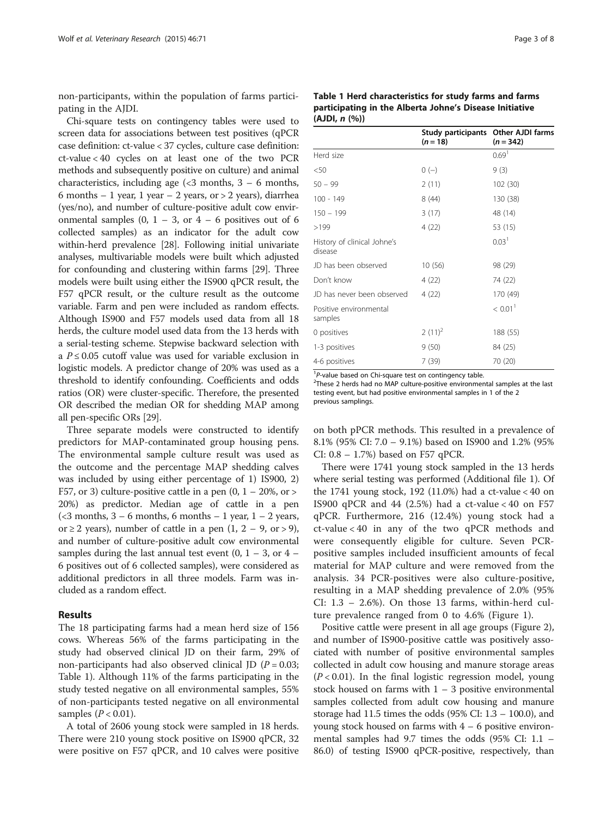non-participants, within the population of farms participating in the AJDI.

Chi-square tests on contingency tables were used to screen data for associations between test positives (qPCR case definition: ct-value < 37 cycles, culture case definition: ct-value < 40 cycles on at least one of the two PCR methods and subsequently positive on culture) and animal characteristics, including age  $\langle$  <3 months, 3 – 6 months, 6 months – 1 year, 1 year – 2 years, or  $>$  2 years), diarrhea (yes/no), and number of culture-positive adult cow environmental samples  $(0, 1 - 3, \text{ or } 4 - 6 \text{ positives out of } 6)$ collected samples) as an indicator for the adult cow within-herd prevalence [\[28](#page-7-0)]. Following initial univariate analyses, multivariable models were built which adjusted for confounding and clustering within farms [[29](#page-7-0)]. Three models were built using either the IS900 qPCR result, the F57 qPCR result, or the culture result as the outcome variable. Farm and pen were included as random effects. Although IS900 and F57 models used data from all 18 herds, the culture model used data from the 13 herds with a serial-testing scheme. Stepwise backward selection with a  $P \leq 0.05$  cutoff value was used for variable exclusion in logistic models. A predictor change of 20% was used as a threshold to identify confounding. Coefficients and odds ratios (OR) were cluster-specific. Therefore, the presented OR described the median OR for shedding MAP among all pen-specific ORs [\[29\]](#page-7-0).

Three separate models were constructed to identify predictors for MAP-contaminated group housing pens. The environmental sample culture result was used as the outcome and the percentage MAP shedding calves was included by using either percentage of 1) IS900, 2) F57, or 3) culture-positive cattle in a pen  $(0, 1 - 20\% , \text{ or } > 1)$ 20%) as predictor. Median age of cattle in a pen  $\left($  <3 months, 3 – 6 months, 6 months – 1 year, 1 – 2 years, or ≥ 2 years), number of cattle in a pen  $(1, 2 - 9, 0r > 9)$ , and number of culture-positive adult cow environmental samples during the last annual test event  $(0, 1 - 3, 0r 4 -$ 6 positives out of 6 collected samples), were considered as additional predictors in all three models. Farm was included as a random effect.

## Results

The 18 participating farms had a mean herd size of 156 cows. Whereas 56% of the farms participating in the study had observed clinical JD on their farm, 29% of non-participants had also observed clinical JD ( $P = 0.03$ ; Table 1). Although 11% of the farms participating in the study tested negative on all environmental samples, 55% of non-participants tested negative on all environmental samples  $(P < 0.01)$ .

A total of 2606 young stock were sampled in 18 herds. There were 210 young stock positive on IS900 qPCR, 32 were positive on F57 qPCR, and 10 calves were positive

|               | Table 1 Herd characteristics for study farms and farms  |
|---------------|---------------------------------------------------------|
|               | participating in the Alberta Johne's Disease Initiative |
| (AJDI, n (%)) |                                                         |

|                                        | Study participants Other AJDI farms<br>$(n = 18)$ | $(n = 342)$           |
|----------------------------------------|---------------------------------------------------|-----------------------|
| Herd size                              |                                                   | 0.69 <sup>1</sup>     |
| $50$                                   | $0(-)$                                            | 9(3)                  |
| $50 - 99$                              | 2(11)                                             | 102 (30)              |
| $100 - 149$                            | 8(44)                                             | 130 (38)              |
| $150 - 199$                            | 3(17)                                             | 48 (14)               |
| >199                                   | 4(22)                                             | 53 (15)               |
| History of clinical Johne's<br>disease |                                                   | 0.03 <sup>1</sup>     |
| JD has been observed                   | 10(56)                                            | 98 (29)               |
| Don't know                             | 4 (22)                                            | 74 (22)               |
| JD has never been observed             | 4(22)                                             | 170 (49)              |
| Positive environmental<br>samples      |                                                   | $< 0.01$ <sup>1</sup> |
| 0 positives                            | $2(11)^2$                                         | 188 (55)              |
| 1-3 positives                          | 9(50)                                             | 84 (25)               |
| 4-6 positives                          | 7(39)                                             | 70 (20)               |

 $1^1$ P-value based on Chi-square test on contingency table.

<sup>2</sup>These 2 herds had no MAP culture-positive environmental samples at the last testing event, but had positive environmental samples in 1 of the 2 previous samplings.

on both pPCR methods. This resulted in a prevalence of 8.1% (95% CI: 7.0 – 9.1%) based on IS900 and 1.2% (95% CI: 0.8 – 1.7%) based on F57 qPCR.

There were 1741 young stock sampled in the 13 herds where serial testing was performed (Additional file [1\)](#page-6-0). Of the 1741 young stock, 192 (11.0%) had a ct-value  $< 40$  on IS900 qPCR and 44 (2.5%) had a ct-value < 40 on F57 qPCR. Furthermore, 216 (12.4%) young stock had a ct-value < 40 in any of the two qPCR methods and were consequently eligible for culture. Seven PCRpositive samples included insufficient amounts of fecal material for MAP culture and were removed from the analysis. 34 PCR-positives were also culture-positive, resulting in a MAP shedding prevalence of 2.0% (95% CI:  $1.3 - 2.6\%$ ). On those 13 farms, within-herd culture prevalence ranged from 0 to 4.6% (Figure [1](#page-3-0)).

Positive cattle were present in all age groups (Figure [2](#page-3-0)), and number of IS900-positive cattle was positively associated with number of positive environmental samples collected in adult cow housing and manure storage areas  $(P < 0.01)$ . In the final logistic regression model, young stock housed on farms with  $1 - 3$  positive environmental samples collected from adult cow housing and manure storage had 11.5 times the odds (95% CI: 1.3 – 100.0), and young stock housed on farms with  $4 - 6$  positive environmental samples had 9.7 times the odds (95% CI: 1.1 – 86.0) of testing IS900 qPCR-positive, respectively, than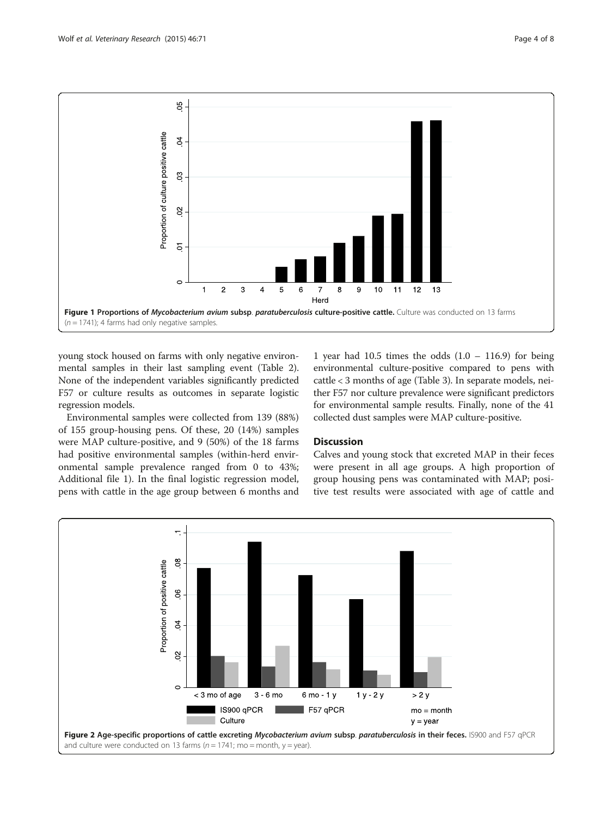<span id="page-3-0"></span>

young stock housed on farms with only negative environmental samples in their last sampling event (Table [2](#page-4-0)). None of the independent variables significantly predicted F57 or culture results as outcomes in separate logistic regression models.

Environmental samples were collected from 139 (88%) of 155 group-housing pens. Of these, 20 (14%) samples were MAP culture-positive, and 9 (50%) of the 18 farms had positive environmental samples (within-herd environmental sample prevalence ranged from 0 to 43%; Additional file [1\)](#page-6-0). In the final logistic regression model, pens with cattle in the age group between 6 months and

1 year had 10.5 times the odds  $(1.0 - 116.9)$  for being environmental culture-positive compared to pens with cattle < 3 months of age (Table [3\)](#page-4-0). In separate models, neither F57 nor culture prevalence were significant predictors for environmental sample results. Finally, none of the 41 collected dust samples were MAP culture-positive.

# **Discussion**

Calves and young stock that excreted MAP in their feces were present in all age groups. A high proportion of group housing pens was contaminated with MAP; positive test results were associated with age of cattle and

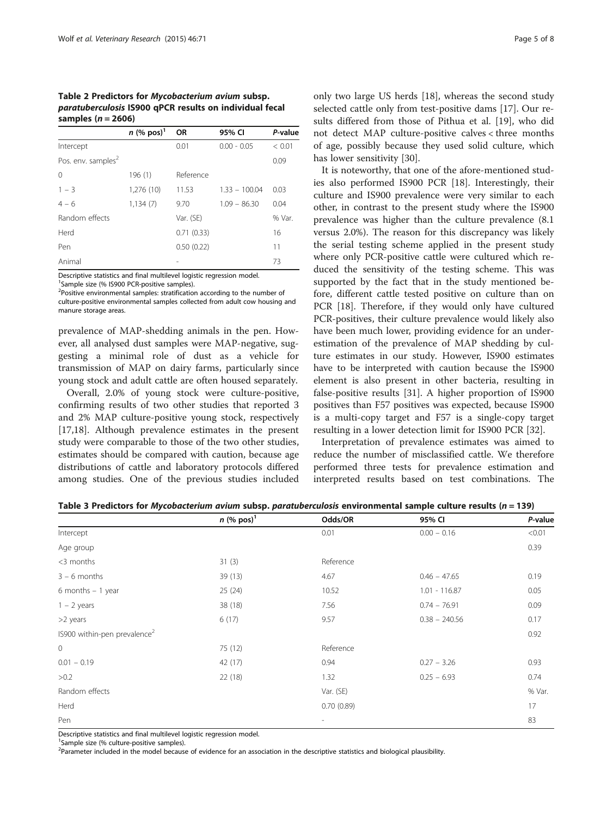<span id="page-4-0"></span>Table 2 Predictors for Mycobacterium avium subsp. paratuberculosis IS900 qPCR results on individual fecal samples ( $n = 2606$ )

|                                | $n$ (% pos) <sup>1</sup> | <b>OR</b>  | 95% CI          | P-value |
|--------------------------------|--------------------------|------------|-----------------|---------|
| Intercept                      |                          | 0.01       | $0.00 - 0.05$   | < 0.01  |
| Pos. env. samples <sup>2</sup> |                          |            |                 | 0.09    |
| $\Omega$                       | 196 (1)                  | Reference  |                 |         |
| $1 - 3$                        | 1,276 (10)               | 11.53      | $1.33 - 100.04$ | 0.03    |
| $4 - 6$                        | 1,134(7)                 | 9.70       | $1.09 - 86.30$  | 0.04    |
| Random effects                 |                          | Var. (SE)  |                 | % Var.  |
| Herd                           |                          | 0.71(0.33) |                 | 16      |
| Pen                            |                          | 0.50(0.22) |                 | 11      |
| Animal                         |                          |            |                 | 73      |

Descriptive statistics and final multilevel logistic regression model.

<sup>1</sup> Sample size (% IS900 PCR-positive samples).

<sup>2</sup>Positive environmental samples: stratification according to the number of culture-positive environmental samples collected from adult cow housing and manure storage areas.

prevalence of MAP-shedding animals in the pen. However, all analysed dust samples were MAP-negative, suggesting a minimal role of dust as a vehicle for transmission of MAP on dairy farms, particularly since young stock and adult cattle are often housed separately.

Overall, 2.0% of young stock were culture-positive, confirming results of two other studies that reported 3 and 2% MAP culture-positive young stock, respectively [[17,18\]](#page-6-0). Although prevalence estimates in the present study were comparable to those of the two other studies, estimates should be compared with caution, because age distributions of cattle and laboratory protocols differed among studies. One of the previous studies included

only two large US herds [[18\]](#page-6-0), whereas the second study selected cattle only from test-positive dams [[17\]](#page-6-0). Our results differed from those of Pithua et al. [[19](#page-6-0)], who did not detect MAP culture-positive calves < three months of age, possibly because they used solid culture, which has lower sensitivity [\[30](#page-7-0)].

It is noteworthy, that one of the afore-mentioned studies also performed IS900 PCR [[18\]](#page-6-0). Interestingly, their culture and IS900 prevalence were very similar to each other, in contrast to the present study where the IS900 prevalence was higher than the culture prevalence (8.1 versus 2.0%). The reason for this discrepancy was likely the serial testing scheme applied in the present study where only PCR-positive cattle were cultured which reduced the sensitivity of the testing scheme. This was supported by the fact that in the study mentioned before, different cattle tested positive on culture than on PCR [[18\]](#page-6-0). Therefore, if they would only have cultured PCR-positives, their culture prevalence would likely also have been much lower, providing evidence for an underestimation of the prevalence of MAP shedding by culture estimates in our study. However, IS900 estimates have to be interpreted with caution because the IS900 element is also present in other bacteria, resulting in false-positive results [\[31](#page-7-0)]. A higher proportion of IS900 positives than F57 positives was expected, because IS900 is a multi-copy target and F57 is a single-copy target resulting in a lower detection limit for IS900 PCR [[32\]](#page-7-0).

Interpretation of prevalence estimates was aimed to reduce the number of misclassified cattle. We therefore performed three tests for prevalence estimation and interpreted results based on test combinations. The

|                                          | $n$ (% pos) <sup>1</sup> | Odds/OR                  | 95% CI          | P-value |
|------------------------------------------|--------------------------|--------------------------|-----------------|---------|
| Intercept                                |                          | 0.01                     | $0.00 - 0.16$   | < 0.01  |
| Age group                                |                          |                          |                 | 0.39    |
| <3 months                                | 31(3)                    | Reference                |                 |         |
| $3 - 6$ months                           | 39(13)                   | 4.67                     | $0.46 - 47.65$  | 0.19    |
| 6 months $-1$ year                       | 25(24)                   | 10.52                    | $1.01 - 116.87$ | 0.05    |
| $1 - 2$ years                            | 38 (18)                  | 7.56                     | $0.74 - 76.91$  | 0.09    |
| >2 years                                 | 6(17)                    | 9.57                     | $0.38 - 240.56$ | 0.17    |
| IS900 within-pen prevalence <sup>2</sup> |                          |                          |                 | 0.92    |
| $\mathbb O$                              | 75 (12)                  | Reference                |                 |         |
| $0.01 - 0.19$                            | 42 (17)                  | 0.94                     | $0.27 - 3.26$   | 0.93    |
| >0.2                                     | 22(18)                   | 1.32                     | $0.25 - 6.93$   | 0.74    |
| Random effects                           |                          | Var. (SE)                |                 | % Var.  |
| Herd                                     |                          | 0.70(0.89)               |                 | 17      |
| Pen                                      |                          | $\overline{\phantom{a}}$ |                 | 83      |

Table 3 Predictors for Mycobacterium avium subsp. paratuberculosis environmental sample culture results ( $n = 139$ )

Descriptive statistics and final multilevel logistic regression model.

<sup>1</sup> Sample size (% culture-positive samples).

<sup>2</sup>Parameter included in the model because of evidence for an association in the descriptive statistics and biological plausibility.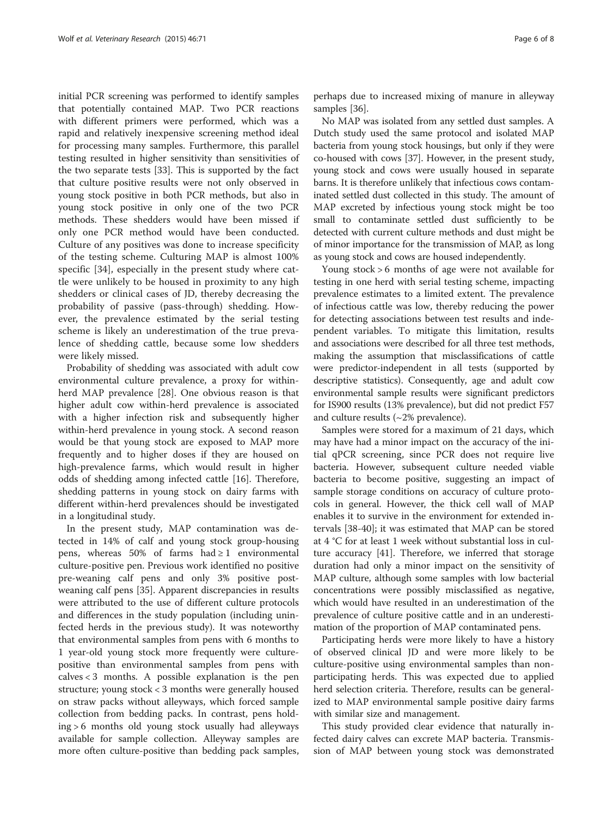initial PCR screening was performed to identify samples that potentially contained MAP. Two PCR reactions with different primers were performed, which was a rapid and relatively inexpensive screening method ideal for processing many samples. Furthermore, this parallel testing resulted in higher sensitivity than sensitivities of the two separate tests [[33\]](#page-7-0). This is supported by the fact that culture positive results were not only observed in young stock positive in both PCR methods, but also in young stock positive in only one of the two PCR methods. These shedders would have been missed if only one PCR method would have been conducted. Culture of any positives was done to increase specificity of the testing scheme. Culturing MAP is almost 100% specific [[34\]](#page-7-0), especially in the present study where cattle were unlikely to be housed in proximity to any high shedders or clinical cases of JD, thereby decreasing the probability of passive (pass-through) shedding. However, the prevalence estimated by the serial testing scheme is likely an underestimation of the true prevalence of shedding cattle, because some low shedders were likely missed.

Probability of shedding was associated with adult cow environmental culture prevalence, a proxy for withinherd MAP prevalence [\[28](#page-7-0)]. One obvious reason is that higher adult cow within-herd prevalence is associated with a higher infection risk and subsequently higher within-herd prevalence in young stock. A second reason would be that young stock are exposed to MAP more frequently and to higher doses if they are housed on high-prevalence farms, which would result in higher odds of shedding among infected cattle [\[16\]](#page-6-0). Therefore, shedding patterns in young stock on dairy farms with different within-herd prevalences should be investigated in a longitudinal study.

In the present study, MAP contamination was detected in 14% of calf and young stock group-housing pens, whereas 50% of farms had  $\geq 1$  environmental culture-positive pen. Previous work identified no positive pre-weaning calf pens and only 3% positive postweaning calf pens [[35\]](#page-7-0). Apparent discrepancies in results were attributed to the use of different culture protocols and differences in the study population (including uninfected herds in the previous study). It was noteworthy that environmental samples from pens with 6 months to 1 year-old young stock more frequently were culturepositive than environmental samples from pens with  $cal < 3$  months. A possible explanation is the pen structure; young stock < 3 months were generally housed on straw packs without alleyways, which forced sample collection from bedding packs. In contrast, pens holding > 6 months old young stock usually had alleyways available for sample collection. Alleyway samples are more often culture-positive than bedding pack samples,

perhaps due to increased mixing of manure in alleyway samples [\[36\]](#page-7-0).

No MAP was isolated from any settled dust samples. A Dutch study used the same protocol and isolated MAP bacteria from young stock housings, but only if they were co-housed with cows [\[37](#page-7-0)]. However, in the present study, young stock and cows were usually housed in separate barns. It is therefore unlikely that infectious cows contaminated settled dust collected in this study. The amount of MAP excreted by infectious young stock might be too small to contaminate settled dust sufficiently to be detected with current culture methods and dust might be of minor importance for the transmission of MAP, as long as young stock and cows are housed independently.

Young stock > 6 months of age were not available for testing in one herd with serial testing scheme, impacting prevalence estimates to a limited extent. The prevalence of infectious cattle was low, thereby reducing the power for detecting associations between test results and independent variables. To mitigate this limitation, results and associations were described for all three test methods, making the assumption that misclassifications of cattle were predictor-independent in all tests (supported by descriptive statistics). Consequently, age and adult cow environmental sample results were significant predictors for IS900 results (13% prevalence), but did not predict F57 and culture results (~2% prevalence).

Samples were stored for a maximum of 21 days, which may have had a minor impact on the accuracy of the initial qPCR screening, since PCR does not require live bacteria. However, subsequent culture needed viable bacteria to become positive, suggesting an impact of sample storage conditions on accuracy of culture protocols in general. However, the thick cell wall of MAP enables it to survive in the environment for extended intervals [[38-40](#page-7-0)]; it was estimated that MAP can be stored at 4 °C for at least 1 week without substantial loss in culture accuracy [\[41\]](#page-7-0). Therefore, we inferred that storage duration had only a minor impact on the sensitivity of MAP culture, although some samples with low bacterial concentrations were possibly misclassified as negative, which would have resulted in an underestimation of the prevalence of culture positive cattle and in an underestimation of the proportion of MAP contaminated pens.

Participating herds were more likely to have a history of observed clinical JD and were more likely to be culture-positive using environmental samples than nonparticipating herds. This was expected due to applied herd selection criteria. Therefore, results can be generalized to MAP environmental sample positive dairy farms with similar size and management.

This study provided clear evidence that naturally infected dairy calves can excrete MAP bacteria. Transmission of MAP between young stock was demonstrated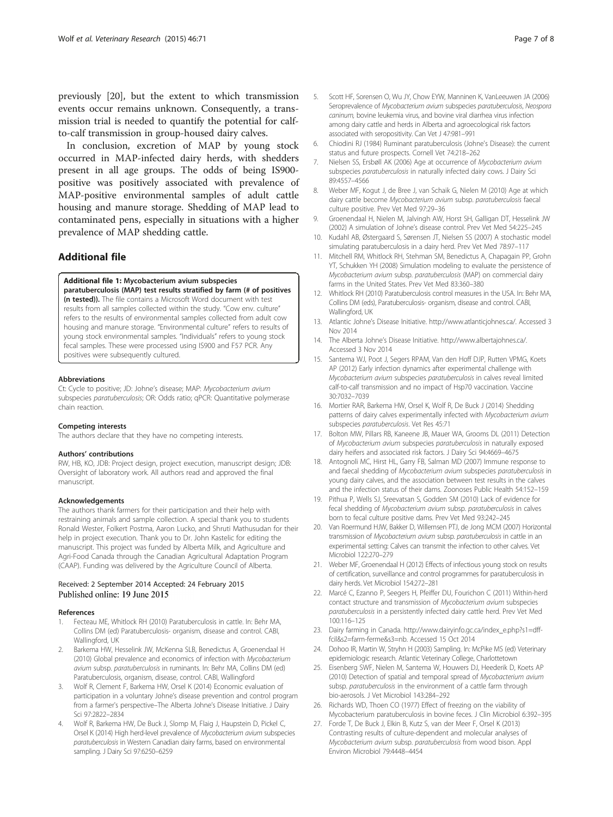<span id="page-6-0"></span>previously [20], but the extent to which transmission events occur remains unknown. Consequently, a transmission trial is needed to quantify the potential for calfto-calf transmission in group-housed dairy calves.

In conclusion, excretion of MAP by young stock occurred in MAP-infected dairy herds, with shedders present in all age groups. The odds of being IS900 positive was positively associated with prevalence of MAP-positive environmental samples of adult cattle housing and manure storage. Shedding of MAP lead to contaminated pens, especially in situations with a higher prevalence of MAP shedding cattle.

# Additional file

# [Additional file 1:](http://www.veterinaryresearch.org/content/supplementary/s13567-015-0192-1-s1.docx) Mycobacterium avium subspecies

paratuberculosis (MAP) test results stratified by farm (# of positives (n tested)). The file contains a Microsoft Word document with test results from all samples collected within the study. "Cow env. culture" refers to the results of environmental samples collected from adult cow housing and manure storage. "Environmental culture" refers to results of young stock environmental samples. "Individuals" refers to young stock fecal samples. These were processed using IS900 and F57 PCR. Any positives were subsequently cultured.

#### Abbreviations

Ct: Cycle to positive; JD: Johne's disease; MAP: Mycobacterium avium subspecies paratuberculosis; OR: Odds ratio; qPCR: Quantitative polymerase chain reaction.

#### Competing interests

The authors declare that they have no competing interests.

#### Authors' contributions

RW, HB, KO, JDB: Project design, project execution, manuscript design; JDB: Oversight of laboratory work. All authors read and approved the final manuscript.

#### Acknowledgements

The authors thank farmers for their participation and their help with restraining animals and sample collection. A special thank you to students Ronald Wester, Folkert Postma, Aaron Lucko, and Shruti Mathusudan for their help in project execution. Thank you to Dr. John Kastelic for editing the manuscript. This project was funded by Alberta Milk, and Agriculture and Agri-Food Canada through the Canadian Agricultural Adaptation Program (CAAP). Funding was delivered by the Agriculture Council of Alberta.

#### Received: 2 September 2014 Accepted: 24 February 2015 Published online: 19 June 2015

#### References

- 1. Fecteau ME, Whitlock RH (2010) Paratuberculosis in cattle. In: Behr MA, Collins DM (ed) Paratuberculosis- organism, disease and control. CABI, Wallingford, UK
- 2. Barkema HW, Hesselink JW, McKenna SLB, Benedictus A, Groenendaal H (2010) Global prevalence and economics of infection with Mycobacterium avium subsp. paratuberculosis in ruminants. In: Behr MA, Collins DM (ed) Paratuberculosis, organism, disease, control. CABI, Wallingford
- 3. Wolf R, Clement F, Barkema HW, Orsel K (2014) Economic evaluation of participation in a voluntary Johne's disease prevention and control program from a farmer's perspective–The Alberta Johne's Disease Initiative. J Dairy Sci 97:2822–2834
- 4. Wolf R, Barkema HW, De Buck J, Slomp M, Flaig J, Haupstein D, Pickel C, Orsel K (2014) High herd-level prevalence of Mycobacterium avium subspecies paratuberculosis in Western Canadian dairy farms, based on environmental sampling. J Dairy Sci 97:6250–6259
- 5. Scott HF, Sorensen O, Wu JY, Chow EYW, Manninen K, VanLeeuwen JA (2006) Seroprevalence of Mycobacterium avium subspecies paratuberculosis, Neospora caninum, bovine leukemia virus, and bovine viral diarrhea virus infection among dairy cattle and herds in Alberta and agroecological risk factors associated with seropositivity. Can Vet J 47:981–991
- 6. Chiodini RJ (1984) Ruminant paratuberculosis (Johne's Disease): the current status and future prospects. Cornell Vet 74:218–262
- 7. Nielsen SS, Ersbøll AK (2006) Age at occurrence of Mycobacterium avium subspecies *paratuberculosis* in naturally infected dairy cows. J Dairy Sci 89:4557–4566
- Weber MF, Kogut J, de Bree J, van Schaik G, Nielen M (2010) Age at which dairy cattle become Mycobacterium avium subsp. paratuberculosis faecal culture positive. Prev Vet Med 97:29–36
- 9. Groenendaal H, Nielen M, Jalvingh AW, Horst SH, Galligan DT, Hesselink JW (2002) A simulation of Johne's disease control. Prev Vet Med 54:225–245
- 10. Kudahl AB, Østergaard S, Sørensen JT, Nielsen SS (2007) A stochastic model simulating paratuberculosis in a dairy herd. Prev Vet Med 78:97–117
- 11. Mitchell RM, Whitlock RH, Stehman SM, Benedictus A, Chapagain PP, Grohn YT, Schukken YH (2008) Simulation modeling to evaluate the persistence of Mycobacterium avium subsp. paratuberculosis (MAP) on commercial dairy farms in the United States. Prev Vet Med 83:360–380
- 12. Whitlock RH (2010) Paratuberculosis control measures in the USA. In: Behr MA, Collins DM (eds), Paratuberculosis- organism, disease and control. CABI, Wallingford, UK
- 13. Atlantic Johne's Disease Initiative. [http://www.atlanticjohnes.ca/.](http://www.atlanticjohnes.ca/) Accessed 3 Nov 2014
- 14. The Alberta Johne's Disease Initiative.<http://www.albertajohnes.ca/>. Accessed 3 Nov 2014
- 15. Santema WJ, Poot J, Segers RPAM, Van den Hoff DJP, Rutten VPMG, Koets AP (2012) Early infection dynamics after experimental challenge with Mycobacterium avium subspecies paratuberculosis in calves reveal limited calf-to-calf transmission and no impact of Hsp70 vaccination. Vaccine 30:7032–7039
- 16. Mortier RAR, Barkema HW, Orsel K, Wolf R, De Buck J (2014) Shedding patterns of dairy calves experimentally infected with Mycobacterium avium subspecies paratuberculosis. Vet Res 45:71
- 17. Bolton MW, Pillars RB, Kaneene JB, Mauer WA, Grooms DL (2011) Detection of Mycobacterium avium subspecies paratuberculosis in naturally exposed dairy heifers and associated risk factors. J Dairy Sci 94:4669–4675
- 18. Antognoli MC, Hirst HL, Garry FB, Salman MD (2007) Immune response to and faecal shedding of Mycobacterium avium subspecies paratuberculosis in young dairy calves, and the association between test results in the calves and the infection status of their dams. Zoonoses Public Health 54:152–159
- 19. Pithua P, Wells SJ, Sreevatsan S, Godden SM (2010) Lack of evidence for fecal shedding of Mycobacterium avium subsp. paratuberculosis in calves born to fecal culture positive dams. Prev Vet Med 93:242–245
- 20. Van Roermund HJW, Bakker D, Willemsen PTJ, de Jong MCM (2007) Horizontal transmission of Mycobacterium avium subsp. paratuberculosis in cattle in an experimental setting: Calves can transmit the infection to other calves. Vet Microbiol 122:270–279
- 21. Weber MF, Groenendaal H (2012) Effects of infectious young stock on results of certification, surveillance and control programmes for paratuberculosis in dairy herds. Vet Microbiol 154:272–281
- 22. Marcé C, Ezanno P, Seegers H, Pfeiffer DU, Fourichon C (2011) Within-herd contact structure and transmission of Mycobacterium avium subspecies paratuberculosis in a persistently infected dairy cattle herd. Prev Vet Med 100:116–125
- 23. Dairy farming in Canada. [http://www.dairyinfo.gc.ca/index\\_e.php?s1=dff](http://www.dairyinfo.gc.ca/index_e.php?s1=dff-fcil&s2=farm-ferme&s3=nb)[fcil&s2=farm-ferme&s3=nb](http://www.dairyinfo.gc.ca/index_e.php?s1=dff-fcil&s2=farm-ferme&s3=nb). Accessed 15 Oct 2014
- 24. Dohoo IR, Martin W, Stryhn H (2003) Sampling. In: McPike MS (ed) Veterinary epidemiologic research. Atlantic Veterinary College, Charlottetown
- 25. Eisenberg SWF, Nielen M, Santema W, Houwers DJ, Heederik D, Koets AP (2010) Detection of spatial and temporal spread of Mycobacterium avium subsp. paratuberculosis in the environment of a cattle farm through bio-aerosols. J Vet Microbiol 143:284–292
- 26. Richards WD, Thoen CO (1977) Effect of freezing on the viability of Mycobacterium paratuberculosis in bovine feces. J Clin Microbiol 6:392–395
- 27. Forde T, De Buck J, Elkin B, Kutz S, van der Meer F, Orsel K (2013) Contrasting results of culture-dependent and molecular analyses of Mycobacterium avium subsp. paratuberculosis from wood bison. Appl Environ Microbiol 79:4448–4454